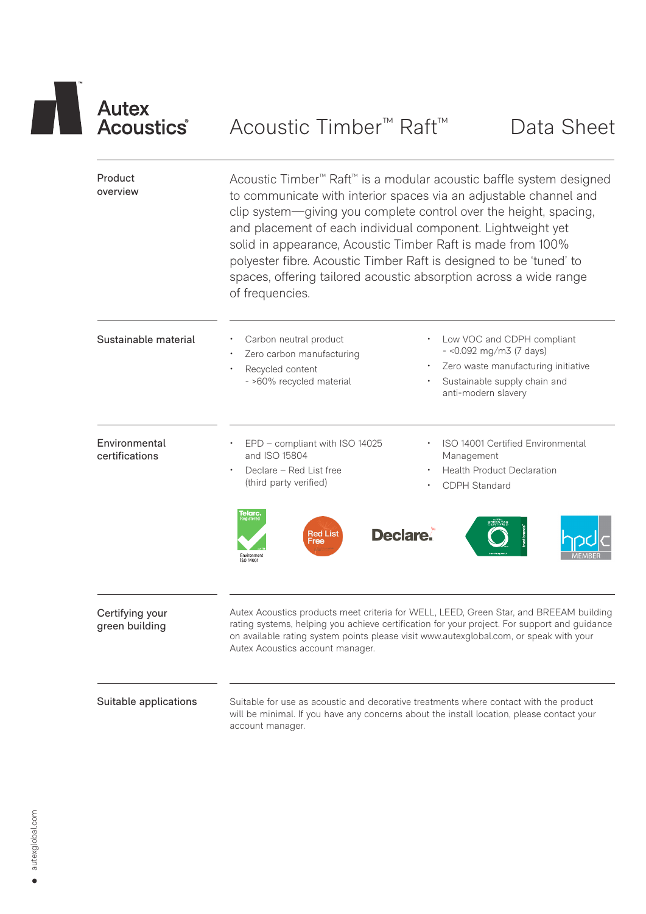# Autex<br>
Acoustics Acoustic Timber<sup>™</sup> Raft™ Data Sheet

| Product<br>overview               | Acoustic Timber <sup>™</sup> Raft <sup>™</sup> is a modular acoustic baffle system designed<br>to communicate with interior spaces via an adjustable channel and<br>clip system-giving you complete control over the height, spacing,<br>and placement of each individual component. Lightweight yet<br>solid in appearance, Acoustic Timber Raft is made from 100%<br>polyester fibre. Acoustic Timber Raft is designed to be 'tuned' to<br>spaces, offering tailored acoustic absorption across a wide range<br>of frequencies. |                                                                                                                                                                                                                                                                                  |  |  |  |  |
|-----------------------------------|-----------------------------------------------------------------------------------------------------------------------------------------------------------------------------------------------------------------------------------------------------------------------------------------------------------------------------------------------------------------------------------------------------------------------------------------------------------------------------------------------------------------------------------|----------------------------------------------------------------------------------------------------------------------------------------------------------------------------------------------------------------------------------------------------------------------------------|--|--|--|--|
| Sustainable material              | Carbon neutral product<br>Zero carbon manufacturing<br>Recycled content<br>- >60% recycled material                                                                                                                                                                                                                                                                                                                                                                                                                               | Low VOC and CDPH compliant<br>$-$ <0.092 mg/m3 (7 days)<br>Zero waste manufacturing initiative<br>Sustainable supply chain and<br>anti-modern slavery                                                                                                                            |  |  |  |  |
| Environmental<br>certifications   | EPD - compliant with ISO 14025<br>and ISO 15804<br>Declare - Red List free<br>(third party verified)<br>T <b>elarc</b> .<br>Declare.<br>Red List<br>Free<br>Environment<br>ISO 14001                                                                                                                                                                                                                                                                                                                                              | ISO 14001 Certified Environmental<br>Management<br><b>Health Product Declaration</b><br><b>CDPH Standard</b>                                                                                                                                                                     |  |  |  |  |
| Certifying your<br>green building | Autex Acoustics account manager.                                                                                                                                                                                                                                                                                                                                                                                                                                                                                                  | Autex Acoustics products meet criteria for WELL, LEED, Green Star, and BREEAM building<br>rating systems, helping you achieve certification for your project. For support and guidance<br>on available rating system points please visit www.autexglobal.com, or speak with your |  |  |  |  |
| Suitable applications             | account manager.                                                                                                                                                                                                                                                                                                                                                                                                                                                                                                                  | Suitable for use as acoustic and decorative treatments where contact with the product<br>will be minimal. If you have any concerns about the install location, please contact your                                                                                               |  |  |  |  |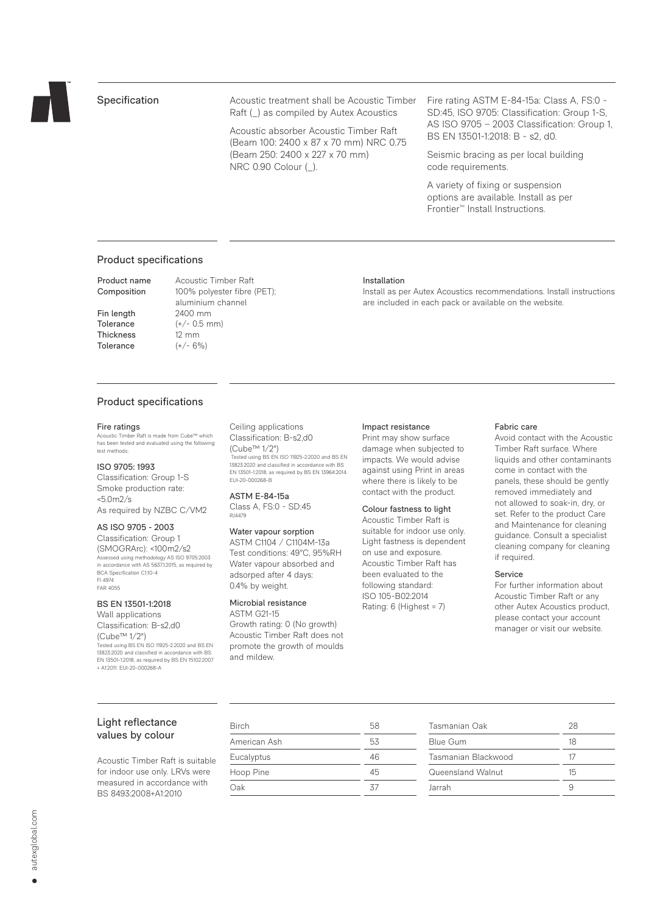

# Specification

Acoustic treatment shall be Acoustic Timber Raft (\_) as compiled by Autex Acoustics

Acoustic absorber Acoustic Timber Raft (Beam 100: 2400 x 87 x 70 mm) NRC 0.75 (Beam 250: 2400 x 227 x 70 mm) NRC 0.90 Colour (\_).

Fire rating ASTM E-84-15a: Class A, FS:0 - SD:45, ISO 9705: Classification: Group 1-S, AS ISO 9705 – 2003 Classification: Group 1, BS EN 13501-1:2018: B - s2, d0.

Seismic bracing as per local building code requirements.

A variety of fixing or suspension options are available. Install as per Frontier™ Install Instructions.

# Product specifications

Product name Acoustic Timber Raft

Fin length 2400 mm Thickness 12 mm Tolerance  $(+/- 6\%)$ 

Composition 100% polyester fibre (PET); aluminium channel Tolerance  $(+/- 0.5$  mm)

#### Installation

Install as per Autex Acoustics recommendations. Install instructions are included in each pack or available on the website.

# Product specifications

#### Fire ratings

Acoustic Timber Raft is made from Cube™ which has been tested and evaluated using the following test methods:

#### ISO 9705: 1993

Classification: Group 1-S Smoke production rate: <5.0m2/s As required by NZBC C/VM2

# AS ISO 9705 - 2003

Classification: Group 1 (SMOGRArc): <100m2/s2 Assessed using methodology AS ISO 9705:2003 in accordance with AS 5637.1:2015, as required by BCA Specification C1.10-4 FI 4974 FAR 4055

### BS EN 13501-1:2018

Wall applications Classification: B-s2,d0 (Cube™ 1/2") Tested using BS EN ISO 11925-2:2020 and BS EN 13823:2020 and classified in accordance with BS EN 13501-1:2018, as required by BS EN 15102:2007 + A1:2011. EUI-20-000268-A Ceiling applications Classification: B-s2,d0 (Cube™ 1/2") Tested using BS EN ISO 11925-2:2020 and BS EN 13823:2020 and classified in accordance with BS EN 13501-1:2018, as required by BS EN 13964:2014. EUI-20-000268-B

ASTM E-84-15a Class A, FS:0 - SD:45 RJ4479

#### Water vapour sorption

ASTM C1104 / C1104M-13a Test conditions: 49°C, 95%RH Water vapour absorbed and adsorped after 4 days: 0.4% by weight.

#### Microbial resistance

ASTM G21-15 Growth rating: 0 (No growth) Acoustic Timber Raft does not promote the growth of moulds and mildew.

#### Impact resistance

Print may show surface damage when subjected to impacts. We would advise against using Print in areas where there is likely to be contact with the product.

#### Colour fastness to light

Acoustic Timber Raft is suitable for indoor use only. Light fastness is dependent on use and exposure. Acoustic Timber Raft has been evaluated to the following standard: ISO 105-B02:2014 Rating: 6 (Highest = 7)

#### Fabric care

Avoid contact with the Acoustic Timber Raft surface. Where liquids and other contaminants come in contact with the panels, these should be gently removed immediately and not allowed to soak-in, dry, or set. Refer to the product Care and Maintenance for cleaning guidance. Consult a specialist cleaning company for cleaning if required.

#### Service

For further information about Acoustic Timber Raft or any other Autex Acoustics product, please contact your account manager or visit our website.

# Light reflectance values by colour

Acoustic Timber Raft is suitable for indoor use only. LRVs were measured in accordance with BS 8493:2008+A1:2010

| Birch        | 58 |
|--------------|----|
| American Ash | 53 |
| Eucalyptus   | 46 |
| Hoop Pine    | 45 |
| Oak          | 37 |

| 28 |
|----|
| 18 |
| 17 |
| 15 |
|    |
|    |